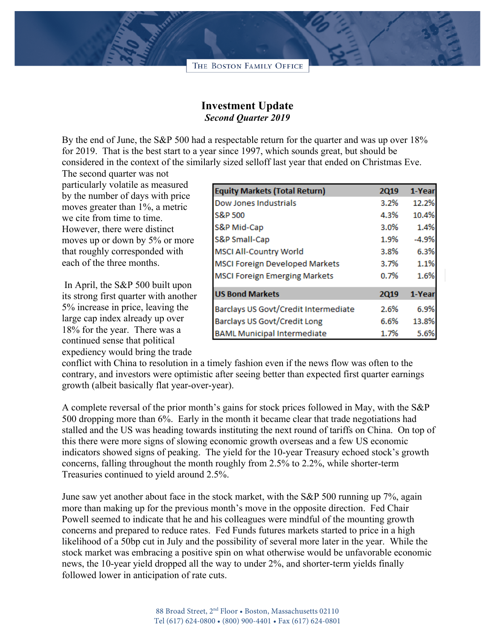

## **Investment Update** *Second Quarter 2019*

By the end of June, the S&P 500 had a respectable return for the quarter and was up over 18% for 2019. That is the best start to a year since 1997, which sounds great, but should be considered in the context of the similarly sized selloff last year that ended on Christmas Eve.

The second quarter was not particularly volatile as measured by the number of days with price moves greater than 1%, a metric we cite from time to time. However, there were distinct moves up or down by 5% or more that roughly corresponded with each of the three months.

In April, the S&P 500 built upon its strong first quarter with another 5% increase in price, leaving the large cap index already up over 18% for the year. There was a continued sense that political expediency would bring the trade

| <b>Equity Markets (Total Return)</b>  | <b>2Q19</b> | 1-Year  |
|---------------------------------------|-------------|---------|
| Dow Jones Industrials                 | 3.2%        | 12.2%   |
| S&P 500                               | 4.3%        | 10.4%   |
| S&P Mid-Cap                           | 3.0%        | 1.4%    |
| S&P Small-Cap                         | 1.9%        | $-4.9%$ |
| MSCI All-Country World                | 3.8%        | 6.3%    |
| <b>MSCI Foreign Developed Markets</b> | 3.7%        | 1.1%    |
| <b>MSCI Foreign Emerging Markets</b>  | 0.7%        | 1.6%    |
| <b>US Bond Markets</b>                | <b>2Q19</b> | 1-Year  |
| Barclays US Govt/Credit Intermediate  | 2.6%        | 6.9%    |
| Barclays US Govt/Credit Long          | 6.6%        | 13.8%   |
| <b>BAML Municipal Intermediate</b>    | 1.7%        | 5.6%    |

conflict with China to resolution in a timely fashion even if the news flow was often to the contrary, and investors were optimistic after seeing better than expected first quarter earnings growth (albeit basically flat year-over-year).

A complete reversal of the prior month's gains for stock prices followed in May, with the S&P 500 dropping more than 6%. Early in the month it became clear that trade negotiations had stalled and the US was heading towards instituting the next round of tariffs on China. On top of this there were more signs of slowing economic growth overseas and a few US economic indicators showed signs of peaking. The yield for the 10-year Treasury echoed stock's growth concerns, falling throughout the month roughly from 2.5% to 2.2%, while shorter-term Treasuries continued to yield around 2.5%.

June saw yet another about face in the stock market, with the S&P 500 running up 7%, again more than making up for the previous month's move in the opposite direction. Fed Chair Powell seemed to indicate that he and his colleagues were mindful of the mounting growth concerns and prepared to reduce rates. Fed Funds futures markets started to price in a high likelihood of a 50bp cut in July and the possibility of several more later in the year. While the stock market was embracing a positive spin on what otherwise would be unfavorable economic news, the 10-year yield dropped all the way to under 2%, and shorter-term yields finally followed lower in anticipation of rate cuts.